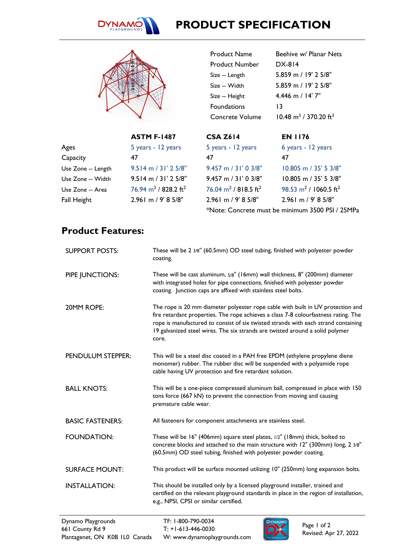

## **PRODUCT SPECIFICATION**



47

**ASTM F-1487** 5 years - 12 years

9.514 m / 31' 2 5/8" 9.514 m / 31' 2 5/8"  $76.94 \text{ m}^2$  / 828.2 ft<sup>2</sup> 2.961 m / 9' 8 5/8"

| <b>Product Name</b>                         | Beehive w/ Planar Nets                        |
|---------------------------------------------|-----------------------------------------------|
| Product Number                              | DX-814                                        |
| Size -- Length                              | 5.859 m / 19' 2 5/8"                          |
| Size -- Width                               | 5.859 m / 19' 2.5/8"                          |
| Size -- Height                              | $4.446$ m / 14' 7"                            |
| <b>Foundations</b>                          | 13                                            |
| Concrete Volume                             | $10.48 \text{ m}^3$ / 370.20 ft <sup>3</sup>  |
|                                             |                                               |
|                                             |                                               |
| <b>CSA Z614</b>                             | <b>EN 1176</b>                                |
| 5 years - 12 years                          | 6 years - 12 years                            |
| 47                                          | 47                                            |
| $9.457$ m $/$ 31' 0 3/8"                    | 10.805 m / 35' 5 3/8"                         |
| $9.457$ m $/$ 31' 0 3/8"                    | $10.805$ m $/$ 35' 5 3/8"                     |
| $76.04 \text{ m}^2$ / 818.5 ft <sup>2</sup> | 98.53 m <sup>2</sup> / 1060.5 ft <sup>2</sup> |

\*Note: Concrete must be minimum 3500 PSI / 25MPa

## **Product Features:**

Ages Capacity

Use Zone -- Length Use Zone -- Width Use Zone -- Area Fall Height

| <b>SUPPORT POSTS:</b>   | These will be 2 3/8" (60.5mm) OD steel tubing, finished with polyester powder<br>coating.                                                                                                                                                                                                                                                              |
|-------------------------|--------------------------------------------------------------------------------------------------------------------------------------------------------------------------------------------------------------------------------------------------------------------------------------------------------------------------------------------------------|
| PIPE JUNCTIONS:         | These will be cast aluminum, 5/8" (16mm) wall thickness, 8" (200mm) diameter<br>with integrated holes for pipe connections, finished with polyester powder<br>coating. Junction caps are affixed with stainless steel bolts.                                                                                                                           |
| 20MM ROPE:              | The rope is 20 mm diameter polyester rope cable with built in UV protection and<br>fire retardant properties. The rope achieves a class 7-8 colourfastness rating. The<br>rope is manufactured to consist of six twisted strands with each strand containing<br>19 galvanized steel wires. The six strands are twisted around a solid polymer<br>core. |
| PENDULUM STEPPER:       | This will be a steel disc coated in a PAH free EPDM (ethylene propylene diene<br>monomer) rubber. The rubber disc will be suspended with a polyamide rope<br>cable having UV protection and fire retardant solution.                                                                                                                                   |
| <b>BALL KNOTS:</b>      | This will be a one-piece compressed aluminum ball, compressed in place with 150<br>tons force (667 kN) to prevent the connection from moving and causing<br>premature cable wear.                                                                                                                                                                      |
| <b>BASIC FASTENERS:</b> | All fasteners for component attachments are stainless steel.                                                                                                                                                                                                                                                                                           |
| <b>FOUNDATION:</b>      | These will be 16" (406mm) square steel plates, 1/2" (18mm) thick, bolted to<br>concrete blocks and attached to the main structure with 12" (300mm) long, 2 3/8"<br>(60.5mm) OD steel tubing, finished with polyester powder coating.                                                                                                                   |
| <b>SURFACE MOUNT:</b>   | This product will be surface mounted utilizing 10" (250mm) long expansion bolts.                                                                                                                                                                                                                                                                       |
| <b>INSTALLATION:</b>    | This should be installed only by a licensed playground installer, trained and<br>certified on the relevant playground standards in place in the region of installation,<br>e.g., NPSI, CPSI or similar certified.                                                                                                                                      |
|                         |                                                                                                                                                                                                                                                                                                                                                        |